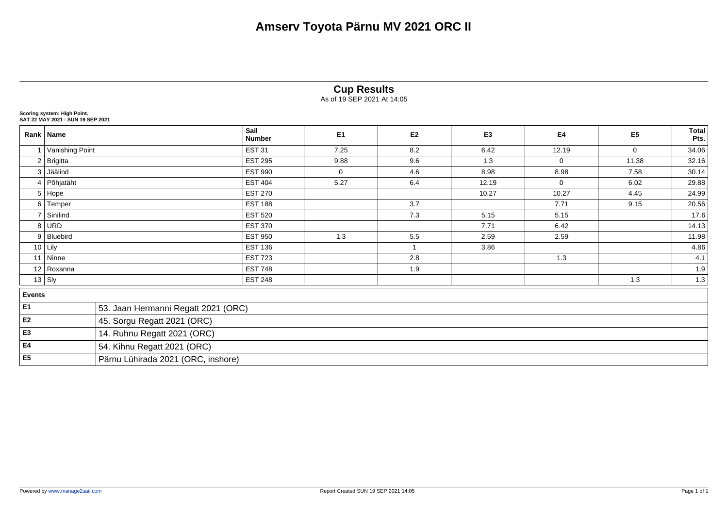|                |                                                                  |                                     |                       | <b>Cup Results</b><br>As of 19 SEP 2021 At 14:05 |                |                |              |                |                      |  |  |  |
|----------------|------------------------------------------------------------------|-------------------------------------|-----------------------|--------------------------------------------------|----------------|----------------|--------------|----------------|----------------------|--|--|--|
|                | Scoring system: High Point.<br>SAT 22 MAY 2021 - SUN 19 SEP 2021 |                                     |                       |                                                  |                |                |              |                |                      |  |  |  |
|                | Rank Name                                                        |                                     | Sail<br><b>Number</b> | E <sub>1</sub>                                   | E <sub>2</sub> | E <sub>3</sub> | E4           | E <sub>5</sub> | <b>Total</b><br>Pts. |  |  |  |
|                | 1 Vanishing Point                                                |                                     | <b>EST 31</b>         | 7.25                                             | 8.2            | 6.42           | 12.19        | 0              | 34.06                |  |  |  |
|                | 2 Brigitta                                                       |                                     | <b>EST 295</b>        | 9.88                                             | 9.6            | 1.3            | $\mathbf 0$  | 11.38          | 32.16                |  |  |  |
| 3              | Jäälind                                                          |                                     | <b>EST 990</b>        | $\mathbf 0$                                      | 4.6            | 8.98           | 8.98         | 7.58           | 30.14                |  |  |  |
| $\overline{4}$ | Põhjatäht                                                        |                                     | <b>EST 404</b>        | 5.27                                             | 6.4            | 12.19          | $\mathbf{0}$ | 6.02           | 29.88                |  |  |  |
|                | 5 Hope                                                           |                                     | <b>EST 270</b>        |                                                  |                | 10.27          | 10.27        | 4.45           | 24.99                |  |  |  |
|                | 6 Temper                                                         |                                     | <b>EST 188</b>        |                                                  | 3.7            |                | 7.71         | 9.15           | 20.56                |  |  |  |
| $\overline{7}$ | Sinilind                                                         |                                     | <b>EST 520</b>        |                                                  | 7.3            | 5.15           | 5.15         |                | 17.6                 |  |  |  |
|                | 8 URD                                                            |                                     | <b>EST 370</b>        |                                                  |                | 7.71           | 6.42         |                | 14.13                |  |  |  |
|                | 9 Bluebird                                                       |                                     | <b>EST 950</b>        | 1.3                                              | 5.5            | 2.59           | 2.59         |                | 11.98                |  |  |  |
|                | $10$ Lily                                                        |                                     | <b>EST 136</b>        |                                                  | $\overline{1}$ | 3.86           |              |                | 4.86                 |  |  |  |
|                | 11 Ninne                                                         |                                     | <b>EST 723</b>        |                                                  | 2.8            |                | 1.3          |                | 4.1                  |  |  |  |
|                | 12 Roxanna                                                       |                                     | <b>EST 748</b>        |                                                  | 1.9            |                |              |                | 1.9                  |  |  |  |
|                | $13$ Sly                                                         |                                     | <b>EST 248</b>        |                                                  |                |                |              | 1.3            | 1.3                  |  |  |  |
| <b>Events</b>  |                                                                  |                                     |                       |                                                  |                |                |              |                |                      |  |  |  |
| E <sub>1</sub> |                                                                  | 53. Jaan Hermanni Regatt 2021 (ORC) |                       |                                                  |                |                |              |                |                      |  |  |  |
| E2             |                                                                  | 45. Sorgu Regatt 2021 (ORC)         |                       |                                                  |                |                |              |                |                      |  |  |  |
| E <sub>3</sub> |                                                                  | 14. Ruhnu Regatt 2021 (ORC)         |                       |                                                  |                |                |              |                |                      |  |  |  |
| E4             |                                                                  | 54. Kihnu Regatt 2021 (ORC)         |                       |                                                  |                |                |              |                |                      |  |  |  |
| E <sub>5</sub> |                                                                  | Pärnu Lühirada 2021 (ORC, inshore)  |                       |                                                  |                |                |              |                |                      |  |  |  |